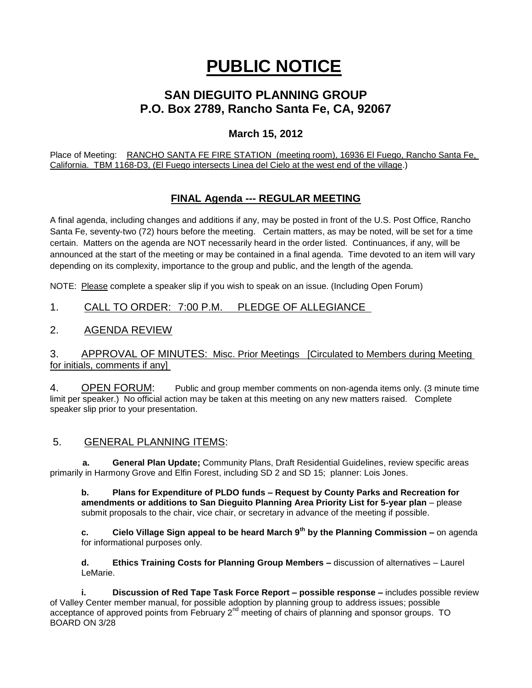# **PUBLIC NOTICE**

## **SAN DIEGUITO PLANNING GROUP P.O. Box 2789, Rancho Santa Fe, CA, 92067**

## **March 15, 2012**

Place of Meeting: RANCHO SANTA FE FIRE STATION (meeting room), 16936 El Fuego, Rancho Santa Fe, California. TBM 1168-D3, (El Fuego intersects Linea del Cielo at the west end of the village.)

## **FINAL Agenda --- REGULAR MEETING**

A final agenda, including changes and additions if any, may be posted in front of the U.S. Post Office, Rancho Santa Fe, seventy-two (72) hours before the meeting. Certain matters, as may be noted, will be set for a time certain. Matters on the agenda are NOT necessarily heard in the order listed. Continuances, if any, will be announced at the start of the meeting or may be contained in a final agenda. Time devoted to an item will vary depending on its complexity, importance to the group and public, and the length of the agenda.

NOTE: Please complete a speaker slip if you wish to speak on an issue. (Including Open Forum)

## 1. CALL TO ORDER: 7:00 P.M. PLEDGE OF ALLEGIANCE

### 2. AGENDA REVIEW

#### 3. APPROVAL OF MINUTES: Misc. Prior Meetings [Circulated to Members during Meeting for initials, comments if any]

4. OPEN FORUM: Public and group member comments on non-agenda items only. (3 minute time limit per speaker.) No official action may be taken at this meeting on any new matters raised. Complete speaker slip prior to your presentation.

### 5. GENERAL PLANNING ITEMS:

 **a. General Plan Update;** Community Plans, Draft Residential Guidelines, review specific areas primarily in Harmony Grove and Elfin Forest, including SD 2 and SD 15; planner: Lois Jones.

**b. Plans for Expenditure of PLDO funds – Request by County Parks and Recreation for amendments or additions to San Dieguito Planning Area Priority List for 5-year plan** – please submit proposals to the chair, vice chair, or secretary in advance of the meeting if possible.

**c. Cielo Village Sign appeal to be heard March 9th by the Planning Commission –** on agenda for informational purposes only.

**d. Ethics Training Costs for Planning Group Members –** discussion of alternatives – Laurel LeMarie.

**i. Discussion of Red Tape Task Force Report – possible response –** includes possible review of Valley Center member manual, for possible adoption by planning group to address issues; possible acceptance of approved points from February  $2^{nd}$  meeting of chairs of planning and sponsor groups. TO BOARD ON 3/28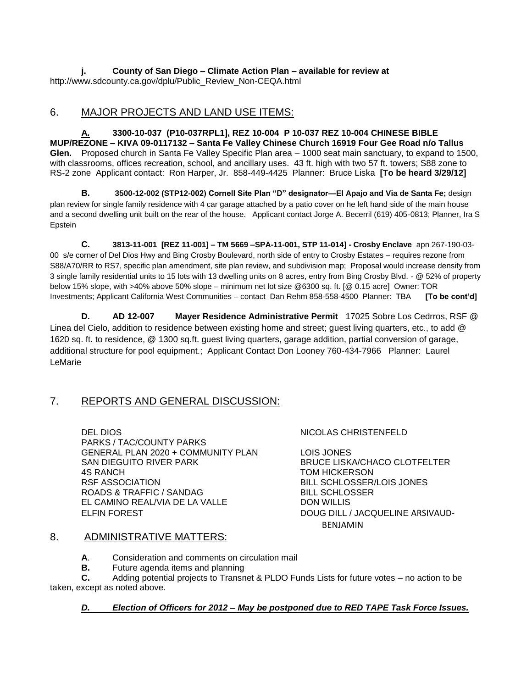**j. County of San Diego – Climate Action Plan – available for review at**  http://www.sdcounty.ca.gov/dplu/Public\_Review\_Non-CEQA.html

#### 6. MAJOR PROJECTS AND LAND USE ITEMS:

**A. 3300-10-037 (P10-037RPL1], REZ 10-004 P 10-037 REZ 10-004 CHINESE BIBLE MUP/REZONE – KIVA 09-0117132 – Santa Fe Valley Chinese Church 16919 Four Gee Road n/o Tallus Glen.** Proposed church in Santa Fe Valley Specific Plan area – 1000 seat main sanctuary, to expand to 1500, with classrooms, offices recreation, school, and ancillary uses. 43 ft. high with two 57 ft. towers; S88 zone to RS-2 zone Applicant contact: Ron Harper, Jr. 858-449-4425 Planner: Bruce Liska **[To be heard 3/29/12]**

B. **3500-12-002 (STP12-002) Cornell Site Plan "D" designator-El Apajo and Via de Santa Fe; design** plan review for single family residence with 4 car garage attached by a patio cover on he left hand side of the main house and a second dwelling unit built on the rear of the house. Applicant contact Jorge A. Becerril (619) 405-0813; Planner, Ira S Epstein

**C. 3813-11-001 [REZ 11-001] – TM 5669 –SPA-11-001, STP 11-014] - Crosby Enclave** apn 267-190-03- 00 s/e corner of Del Dios Hwy and Bing Crosby Boulevard, north side of entry to Crosby Estates – requires rezone from S88/A70/RR to RS7, specific plan amendment, site plan review, and subdivision map; Proposal would increase density from 3 single family residential units to 15 lots with 13 dwelling units on 8 acres, entry from Bing Crosby Blvd. - @ 52% of property below 15% slope, with >40% above 50% slope – minimum net lot size @6300 sq. ft. [@ 0.15 acre] Owner: TOR Investments; Applicant California West Communities – contact Dan Rehm 858-558-4500 Planner: TBA **[To be cont'd]**

**D. AD 12-007 Mayer Residence Administrative Permit** 17025 Sobre Los Cedrros, RSF @ Linea del Cielo, addition to residence between existing home and street; guest living quarters, etc., to add @ 1620 sq. ft. to residence, @ 1300 sq.ft. guest living quarters, garage addition, partial conversion of garage, additional structure for pool equipment.; Applicant Contact Don Looney 760-434-7966 Planner: Laurel LeMarie

#### 7. REPORTS AND GENERAL DISCUSSION:

DEL DIOS NICOLAS CHRISTENFELD PARKS / TAC/COUNTY PARKS GENERAL PLAN 2020 + COMMUNITY PLAN LOIS JONES SAN DIEGUITO RIVER PARK BRUCE LISKA/CHACO CLOTFELTER 4S RANCH TOM HICKERSON RSF ASSOCIATION BILL SCHLOSSER/LOIS JONES ROADS & TRAFFIC / SANDAG BILL SCHLOSSER EL CAMINO REAL/VIA DE LA VALLE DON WILLIS ELFIN FOREST DOUG DILL / JACQUELINE ARSIVAUD-

BENJAMIN

#### 8. ADMINISTRATIVE MATTERS:

**A**. Consideration and comments on circulation mail

**B.** Future agenda items and planning

**C.** Adding potential projects to Transnet & PLDO Funds Lists for future votes – no action to be taken, except as noted above.

#### *D. Election of Officers for 2012 – May be postponed due to RED TAPE Task Force Issues.*